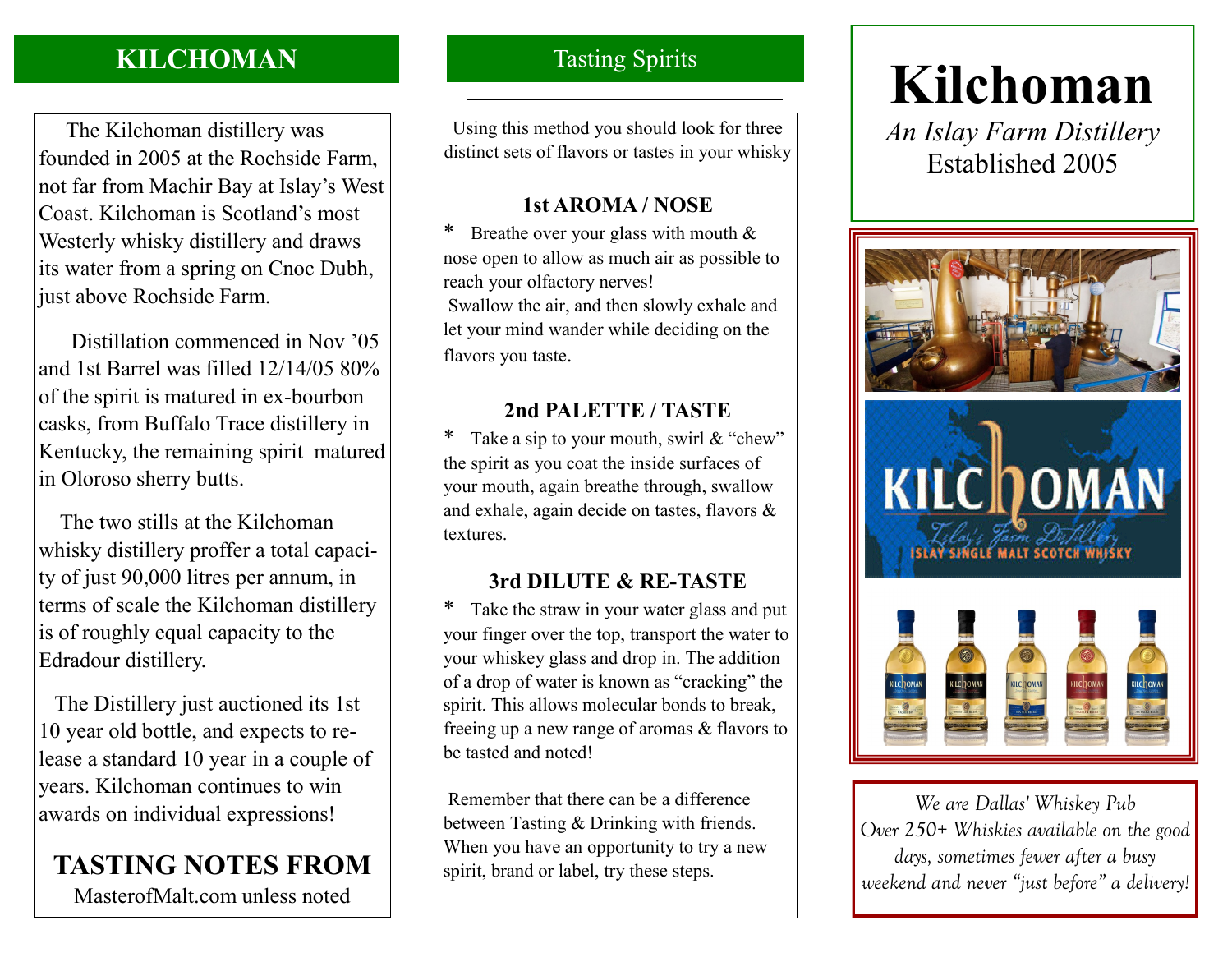# **KILCHOMAN**

 The Kilchoman distillery was founded in 2005 at the Rochside Farm, not far from Machir Bay at Islay's West Coast. Kilchoman is Scotland's most Westerly whisky distillery and draws its water from a spring on Cnoc Dubh, just above Rochside Farm.

 Distillation commenced in Nov '05 and 1st Barrel was filled 12/14/05 80% of the spirit is matured in ex-bourbon casks, from Buffalo Trace distillery in Kentucky, the remaining spirit matured in Oloroso sherry butts.

 The two stills at the Kilchoman whisky distillery proffer a total capacity of just 90,000 litres per annum, in terms of scale the Kilchoman distillery is of roughly equal capacity to the Edradour distillery.

 The Distillery just auctioned its 1st 10 year old bottle, and expects to release a standard 10 year in a couple of years. Kilchoman continues to win awards on individual expressions!

# **TASTING NOTES FROM**

MasterofMalt.com unless noted

# Tasting Spirits

Using this method you should look for three distinct sets of flavors or tastes in your whisky

### **1st AROMA / NOSE**

\* Breathe over your glass with mouth & nose open to allow as much air as possible to reach your olfactory nerves! Swallow the air, and then slowly exhale and let your mind wander while deciding on the flavors you taste.

## **2nd PALETTE / TASTE**

\* Take a sip to your mouth, swirl  $&$  "chew" the spirit as you coat the inside surfaces of your mouth, again breathe through, swallow and exhale, again decide on tastes, flavors & textures.

# **3rd DILUTE & RE-TASTE**

Take the straw in your water glass and put your finger over the top, transport the water to your whiskey glass and drop in. The addition of a drop of water is known as "cracking" the spirit. This allows molecular bonds to break, freeing up a new range of aromas & flavors to be tasted and noted!

Remember that there can be a difference between Tasting & Drinking with friends. When you have an opportunity to try a new spirit, brand or label, try these steps.

# **Kilchoman**

*An Islay Farm Distillery* Established 2005



*We are Dallas' Whiskey Pub Over 250+ Whiskies available on the good days, sometimes fewer after a busy weekend and never "just before" a delivery!*